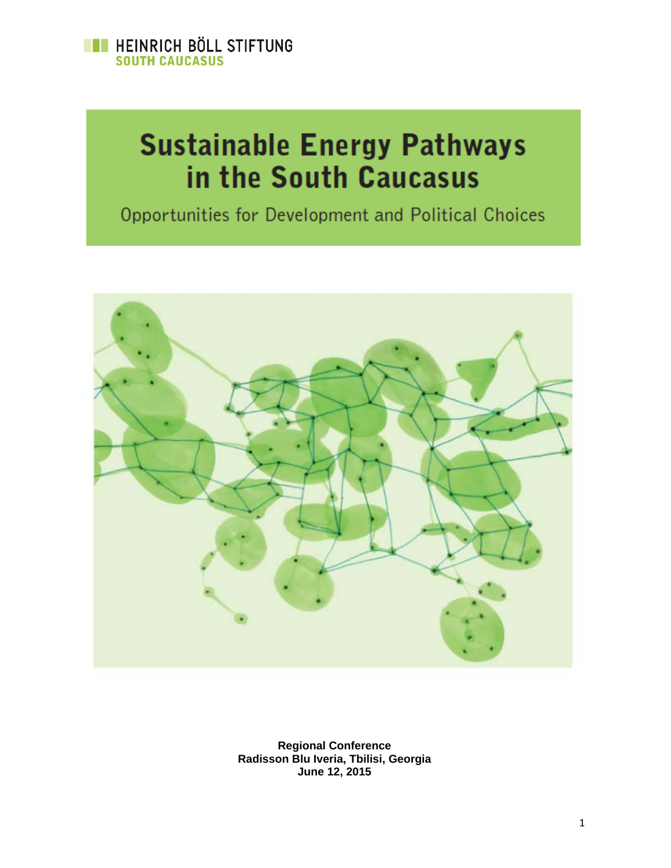

# **Sustainable Energy Pathways** in the South Caucasus

Opportunities for Development and Political Choices



**Regional Conference Radisson Blu Iveria, Tbilisi, Georgia June 12, 2015**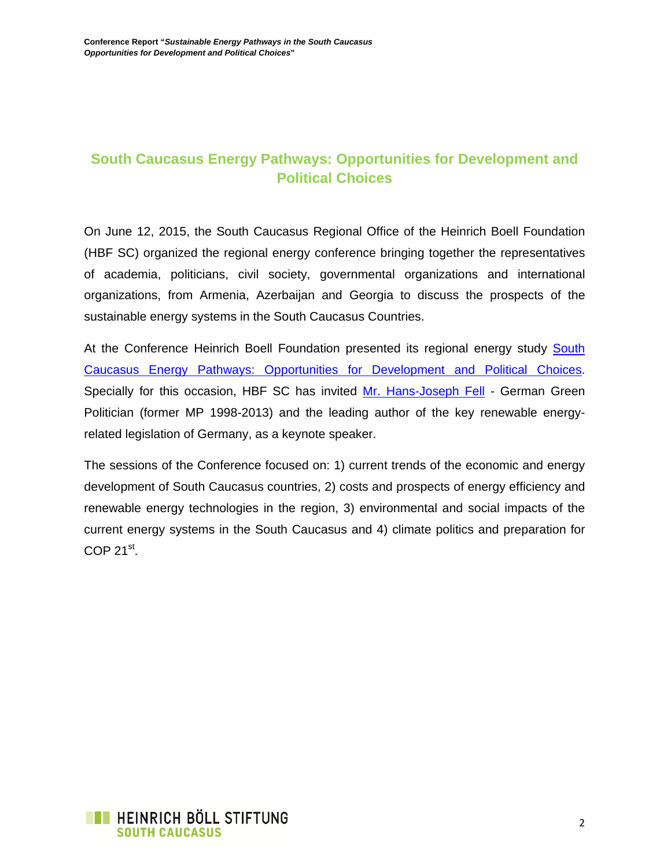## **South Caucasus Energy Pathways: Opportunities for Development and Political Choices**

On June 12, 2015, the South Caucasus Regional Office of the Heinrich Boell Foundation (HBF SC) organized the regional energy conference bringing together the representatives of academia, politicians, civil society, governmental organizations and international organizations, from Armenia, Azerbaijan and Georgia to discuss the prospects of the sustainable energy systems in the South Caucasus Countries.

At the Conference Heinrich Boell Foundation presented its regional energy study South Caucasus Energy Pathways: Opportunities for Development and Political Choices. Specially for this occasion, HBF SC has invited Mr. Hans-Joseph Fell - German Green Politician (former MP 1998-2013) and the leading author of the key renewable energyrelated legislation of Germany, as a keynote speaker.

The sessions of the Conference focused on: 1) current trends of the economic and energy development of South Caucasus countries, 2) costs and prospects of energy efficiency and renewable energy technologies in the region, 3) environmental and social impacts of the current energy systems in the South Caucasus and 4) climate politics and preparation for  $COP 21<sup>st</sup>$ 

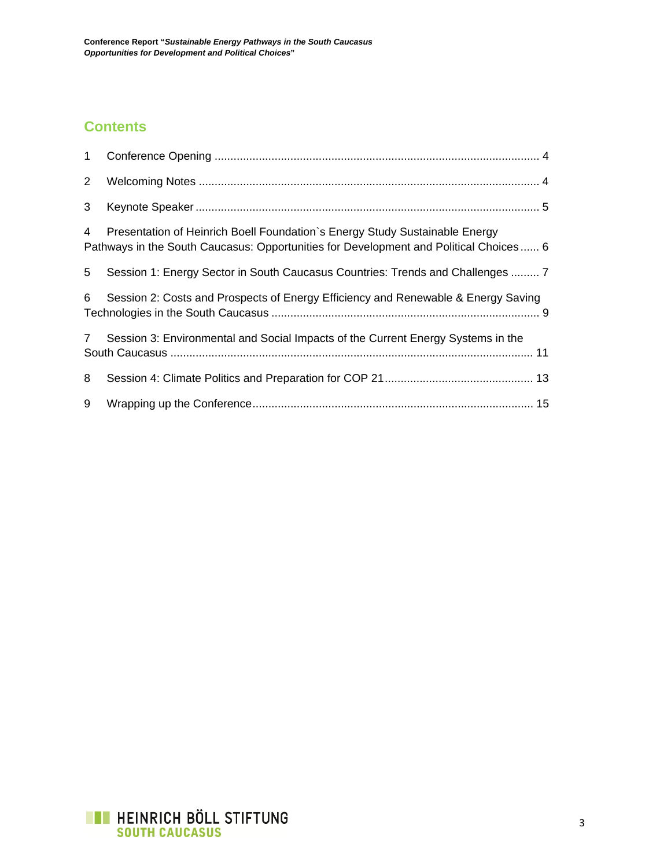# **Contents**

| $\mathbf{1}$ |                                                                                                                                                                      |  |
|--------------|----------------------------------------------------------------------------------------------------------------------------------------------------------------------|--|
| $2^{\circ}$  |                                                                                                                                                                      |  |
| 3            |                                                                                                                                                                      |  |
| 4            | Presentation of Heinrich Boell Foundation's Energy Study Sustainable Energy<br>Pathways in the South Caucasus: Opportunities for Development and Political Choices 6 |  |
| 5            | Session 1: Energy Sector in South Caucasus Countries: Trends and Challenges  7                                                                                       |  |
| 6            | Session 2: Costs and Prospects of Energy Efficiency and Renewable & Energy Saving                                                                                    |  |
| $7^{\circ}$  | Session 3: Environmental and Social Impacts of the Current Energy Systems in the                                                                                     |  |
| 8            |                                                                                                                                                                      |  |
| 9            |                                                                                                                                                                      |  |

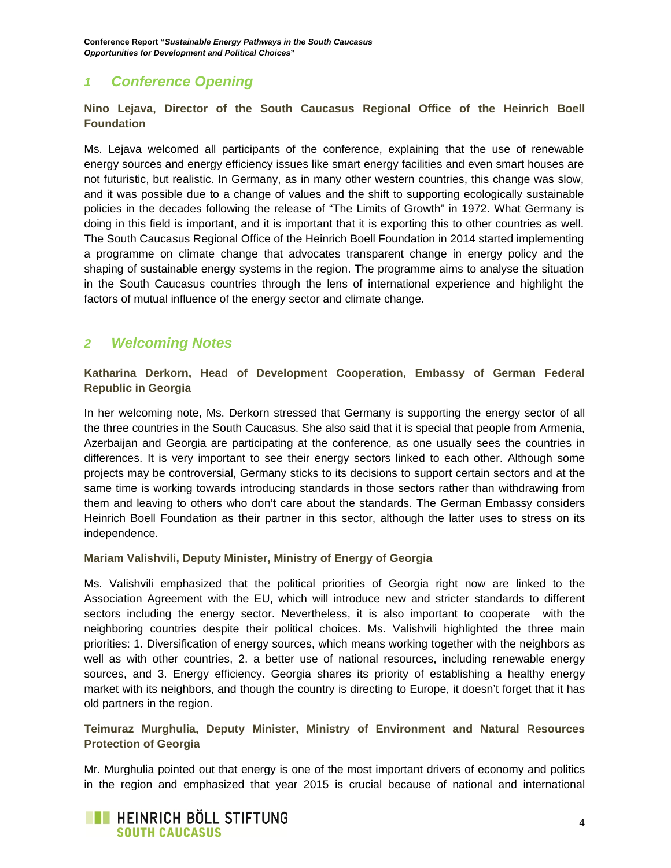## *1 Conference Opening*

**Nino Lejava, Director of the South Caucasus Regional Office of the Heinrich Boell Foundation** 

Ms. Lejava welcomed all participants of the conference, explaining that the use of renewable energy sources and energy efficiency issues like smart energy facilities and even smart houses are not futuristic, but realistic. In Germany, as in many other western countries, this change was slow, and it was possible due to a change of values and the shift to supporting ecologically sustainable policies in the decades following the release of "The Limits of Growth" in 1972. What Germany is doing in this field is important, and it is important that it is exporting this to other countries as well. The South Caucasus Regional Office of the Heinrich Boell Foundation in 2014 started implementing a programme on climate change that advocates transparent change in energy policy and the shaping of sustainable energy systems in the region. The programme aims to analyse the situation in the South Caucasus countries through the lens of international experience and highlight the factors of mutual influence of the energy sector and climate change.

## *2 Welcoming Notes*

**Katharina Derkorn, Head of Development Cooperation, Embassy of German Federal Republic in Georgia**

In her welcoming note, Ms. Derkorn stressed that Germany is supporting the energy sector of all the three countries in the South Caucasus. She also said that it is special that people from Armenia, Azerbaijan and Georgia are participating at the conference, as one usually sees the countries in differences. It is very important to see their energy sectors linked to each other. Although some projects may be controversial, Germany sticks to its decisions to support certain sectors and at the same time is working towards introducing standards in those sectors rather than withdrawing from them and leaving to others who don't care about the standards. The German Embassy considers Heinrich Boell Foundation as their partner in this sector, although the latter uses to stress on its independence.

#### **Mariam Valishvili, Deputy Minister, Ministry of Energy of Georgia**

Ms. Valishvili emphasized that the political priorities of Georgia right now are linked to the Association Agreement with the EU, which will introduce new and stricter standards to different sectors including the energy sector. Nevertheless, it is also important to cooperate with the neighboring countries despite their political choices. Ms. Valishvili highlighted the three main priorities: 1. Diversification of energy sources, which means working together with the neighbors as well as with other countries, 2. a better use of national resources, including renewable energy sources, and 3. Energy efficiency. Georgia shares its priority of establishing a healthy energy market with its neighbors, and though the country is directing to Europe, it doesn't forget that it has old partners in the region.

#### **Teimuraz Murghulia, Deputy Minister, Ministry of Environment and Natural Resources Protection of Georgia**

Mr. Murghulia pointed out that energy is one of the most important drivers of economy and politics in the region and emphasized that year 2015 is crucial because of national and international

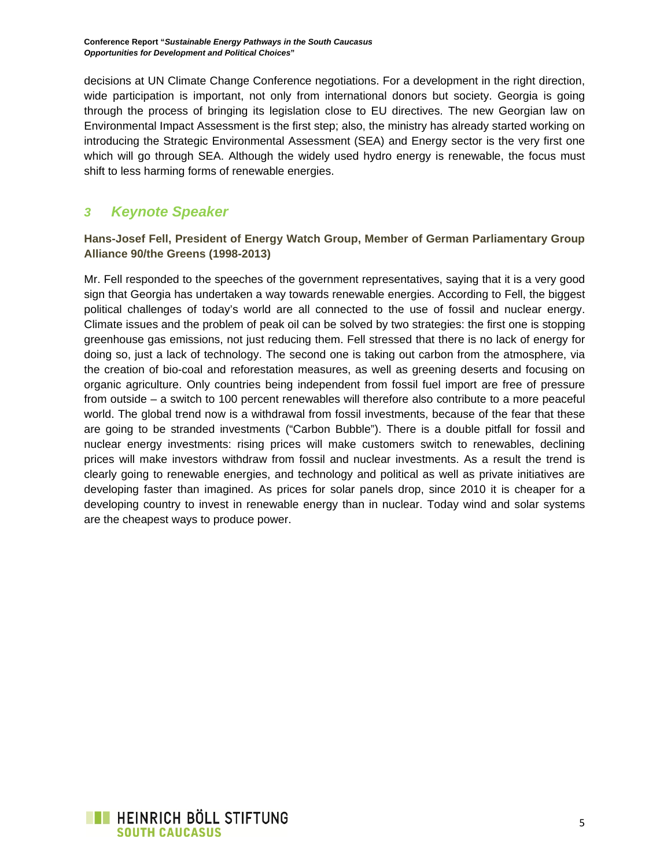decisions at UN Climate Change Conference negotiations. For a development in the right direction, wide participation is important, not only from international donors but society. Georgia is going through the process of bringing its legislation close to EU directives. The new Georgian law on Environmental Impact Assessment is the first step; also, the ministry has already started working on introducing the Strategic Environmental Assessment (SEA) and Energy sector is the very first one which will go through SEA. Although the widely used hydro energy is renewable, the focus must shift to less harming forms of renewable energies.

## *3 Keynote Speaker*

**Hans-Josef Fell, President of Energy Watch Group, Member of German Parliamentary Group Alliance 90/the Greens (1998-2013)** 

Mr. Fell responded to the speeches of the government representatives, saying that it is a very good sign that Georgia has undertaken a way towards renewable energies. According to Fell, the biggest political challenges of today's world are all connected to the use of fossil and nuclear energy. Climate issues and the problem of peak oil can be solved by two strategies: the first one is stopping greenhouse gas emissions, not just reducing them. Fell stressed that there is no lack of energy for doing so, just a lack of technology. The second one is taking out carbon from the atmosphere, via the creation of bio-coal and reforestation measures, as well as greening deserts and focusing on organic agriculture. Only countries being independent from fossil fuel import are free of pressure from outside – a switch to 100 percent renewables will therefore also contribute to a more peaceful world. The global trend now is a withdrawal from fossil investments, because of the fear that these are going to be stranded investments ("Carbon Bubble"). There is a double pitfall for fossil and nuclear energy investments: rising prices will make customers switch to renewables, declining prices will make investors withdraw from fossil and nuclear investments. As a result the trend is clearly going to renewable energies, and technology and political as well as private initiatives are developing faster than imagined. As prices for solar panels drop, since 2010 it is cheaper for a developing country to invest in renewable energy than in nuclear. Today wind and solar systems are the cheapest ways to produce power.

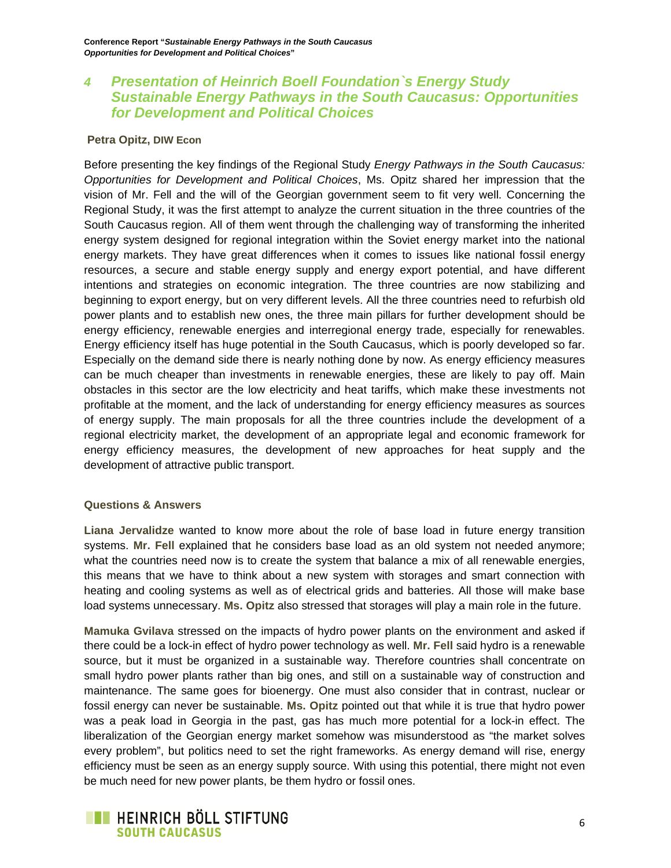## *4 Presentation of Heinrich Boell Foundation`s Energy Study Sustainable Energy Pathways in the South Caucasus: Opportunities for Development and Political Choices*

#### **Petra Opitz, DIW Econ**

Before presenting the key findings of the Regional Study *Energy Pathways in the South Caucasus: Opportunities for Development and Political Choices*, Ms. Opitz shared her impression that the vision of Mr. Fell and the will of the Georgian government seem to fit very well. Concerning the Regional Study, it was the first attempt to analyze the current situation in the three countries of the South Caucasus region. All of them went through the challenging way of transforming the inherited energy system designed for regional integration within the Soviet energy market into the national energy markets. They have great differences when it comes to issues like national fossil energy resources, a secure and stable energy supply and energy export potential, and have different intentions and strategies on economic integration. The three countries are now stabilizing and beginning to export energy, but on very different levels. All the three countries need to refurbish old power plants and to establish new ones, the three main pillars for further development should be energy efficiency, renewable energies and interregional energy trade, especially for renewables. Energy efficiency itself has huge potential in the South Caucasus, which is poorly developed so far. Especially on the demand side there is nearly nothing done by now. As energy efficiency measures can be much cheaper than investments in renewable energies, these are likely to pay off. Main obstacles in this sector are the low electricity and heat tariffs, which make these investments not profitable at the moment, and the lack of understanding for energy efficiency measures as sources of energy supply. The main proposals for all the three countries include the development of a regional electricity market, the development of an appropriate legal and economic framework for energy efficiency measures, the development of new approaches for heat supply and the development of attractive public transport.

#### **Questions & Answers**

**Liana Jervalidze** wanted to know more about the role of base load in future energy transition systems. **Mr. Fell** explained that he considers base load as an old system not needed anymore; what the countries need now is to create the system that balance a mix of all renewable energies, this means that we have to think about a new system with storages and smart connection with heating and cooling systems as well as of electrical grids and batteries. All those will make base load systems unnecessary. **Ms. Opitz** also stressed that storages will play a main role in the future.

**Mamuka Gvilava** stressed on the impacts of hydro power plants on the environment and asked if there could be a lock-in effect of hydro power technology as well. **Mr. Fell** said hydro is a renewable source, but it must be organized in a sustainable way. Therefore countries shall concentrate on small hydro power plants rather than big ones, and still on a sustainable way of construction and maintenance. The same goes for bioenergy. One must also consider that in contrast, nuclear or fossil energy can never be sustainable. **Ms. Opitz** pointed out that while it is true that hydro power was a peak load in Georgia in the past, gas has much more potential for a lock-in effect. The liberalization of the Georgian energy market somehow was misunderstood as "the market solves every problem", but politics need to set the right frameworks. As energy demand will rise, energy efficiency must be seen as an energy supply source. With using this potential, there might not even be much need for new power plants, be them hydro or fossil ones.

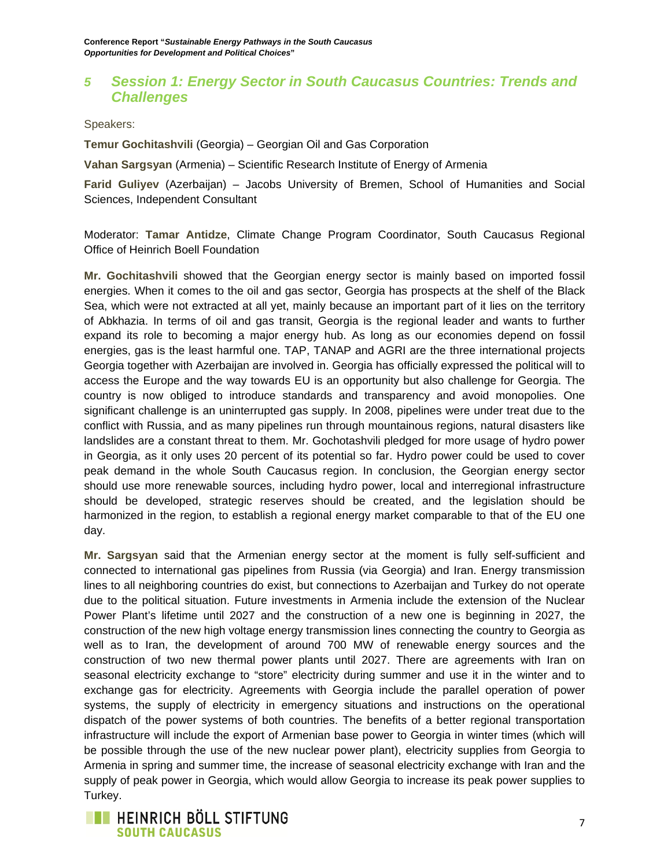## *5 Session 1: Energy Sector in South Caucasus Countries: Trends and Challenges*

Speakers:

**Temur Gochitashvili** (Georgia) – Georgian Oil and Gas Corporation

**Vahan Sargsyan** (Armenia) – Scientific Research Institute of Energy of Armenia

**Farid Guliyev** (Azerbaijan) – Jacobs University of Bremen, School of Humanities and Social Sciences, Independent Consultant

Moderator: **Tamar Antidze**, Climate Change Program Coordinator, South Caucasus Regional Office of Heinrich Boell Foundation

**Mr. Gochitashvili** showed that the Georgian energy sector is mainly based on imported fossil energies. When it comes to the oil and gas sector, Georgia has prospects at the shelf of the Black Sea, which were not extracted at all yet, mainly because an important part of it lies on the territory of Abkhazia. In terms of oil and gas transit, Georgia is the regional leader and wants to further expand its role to becoming a major energy hub. As long as our economies depend on fossil energies, gas is the least harmful one. TAP, TANAP and AGRI are the three international projects Georgia together with Azerbaijan are involved in. Georgia has officially expressed the political will to access the Europe and the way towards EU is an opportunity but also challenge for Georgia. The country is now obliged to introduce standards and transparency and avoid monopolies. One significant challenge is an uninterrupted gas supply. In 2008, pipelines were under treat due to the conflict with Russia, and as many pipelines run through mountainous regions, natural disasters like landslides are a constant threat to them. Mr. Gochotashvili pledged for more usage of hydro power in Georgia, as it only uses 20 percent of its potential so far. Hydro power could be used to cover peak demand in the whole South Caucasus region. In conclusion, the Georgian energy sector should use more renewable sources, including hydro power, local and interregional infrastructure should be developed, strategic reserves should be created, and the legislation should be harmonized in the region, to establish a regional energy market comparable to that of the EU one day.

**Mr. Sargsyan** said that the Armenian energy sector at the moment is fully self-sufficient and connected to international gas pipelines from Russia (via Georgia) and Iran. Energy transmission lines to all neighboring countries do exist, but connections to Azerbaijan and Turkey do not operate due to the political situation. Future investments in Armenia include the extension of the Nuclear Power Plant's lifetime until 2027 and the construction of a new one is beginning in 2027, the construction of the new high voltage energy transmission lines connecting the country to Georgia as well as to Iran, the development of around 700 MW of renewable energy sources and the construction of two new thermal power plants until 2027. There are agreements with Iran on seasonal electricity exchange to "store" electricity during summer and use it in the winter and to exchange gas for electricity. Agreements with Georgia include the parallel operation of power systems, the supply of electricity in emergency situations and instructions on the operational dispatch of the power systems of both countries. The benefits of a better regional transportation infrastructure will include the export of Armenian base power to Georgia in winter times (which will be possible through the use of the new nuclear power plant), electricity supplies from Georgia to Armenia in spring and summer time, the increase of seasonal electricity exchange with Iran and the supply of peak power in Georgia, which would allow Georgia to increase its peak power supplies to Turkey.

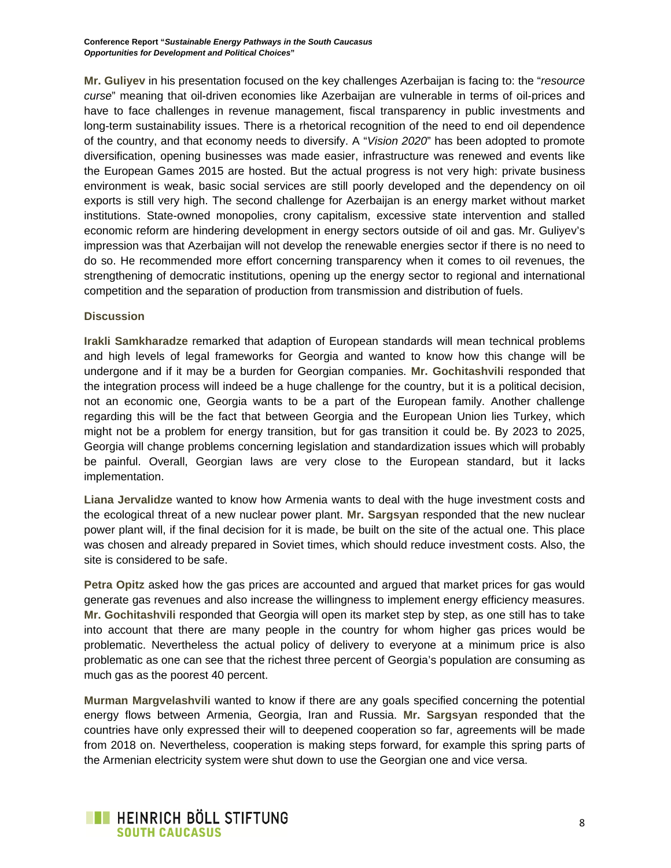**Mr. Guliyev** in his presentation focused on the key challenges Azerbaijan is facing to: the "*resource curse*" meaning that oil-driven economies like Azerbaijan are vulnerable in terms of oil-prices and have to face challenges in revenue management, fiscal transparency in public investments and long-term sustainability issues. There is a rhetorical recognition of the need to end oil dependence of the country, and that economy needs to diversify. A "*Vision 2020*" has been adopted to promote diversification, opening businesses was made easier, infrastructure was renewed and events like the European Games 2015 are hosted. But the actual progress is not very high: private business environment is weak, basic social services are still poorly developed and the dependency on oil exports is still very high. The second challenge for Azerbaijan is an energy market without market institutions. State-owned monopolies, crony capitalism, excessive state intervention and stalled economic reform are hindering development in energy sectors outside of oil and gas. Mr. Guliyev's impression was that Azerbaijan will not develop the renewable energies sector if there is no need to do so. He recommended more effort concerning transparency when it comes to oil revenues, the strengthening of democratic institutions, opening up the energy sector to regional and international competition and the separation of production from transmission and distribution of fuels.

#### **Discussion**

**Irakli Samkharadze** remarked that adaption of European standards will mean technical problems and high levels of legal frameworks for Georgia and wanted to know how this change will be undergone and if it may be a burden for Georgian companies. **Mr. Gochitashvili** responded that the integration process will indeed be a huge challenge for the country, but it is a political decision, not an economic one, Georgia wants to be a part of the European family. Another challenge regarding this will be the fact that between Georgia and the European Union lies Turkey, which might not be a problem for energy transition, but for gas transition it could be. By 2023 to 2025, Georgia will change problems concerning legislation and standardization issues which will probably be painful. Overall, Georgian laws are very close to the European standard, but it lacks implementation.

**Liana Jervalidze** wanted to know how Armenia wants to deal with the huge investment costs and the ecological threat of a new nuclear power plant. **Mr. Sargsyan** responded that the new nuclear power plant will, if the final decision for it is made, be built on the site of the actual one. This place was chosen and already prepared in Soviet times, which should reduce investment costs. Also, the site is considered to be safe.

**Petra Opitz** asked how the gas prices are accounted and argued that market prices for gas would generate gas revenues and also increase the willingness to implement energy efficiency measures. **Mr. Gochitashvili** responded that Georgia will open its market step by step, as one still has to take into account that there are many people in the country for whom higher gas prices would be problematic. Nevertheless the actual policy of delivery to everyone at a minimum price is also problematic as one can see that the richest three percent of Georgia's population are consuming as much gas as the poorest 40 percent.

**Murman Margvelashvili** wanted to know if there are any goals specified concerning the potential energy flows between Armenia, Georgia, Iran and Russia. **Mr. Sargsyan** responded that the countries have only expressed their will to deepened cooperation so far, agreements will be made from 2018 on. Nevertheless, cooperation is making steps forward, for example this spring parts of the Armenian electricity system were shut down to use the Georgian one and vice versa.

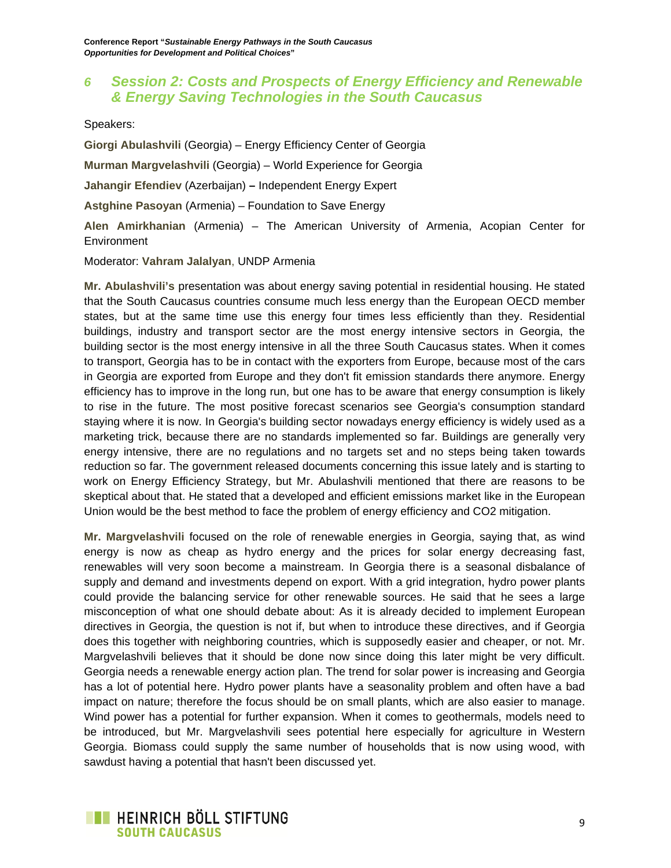## *6 Session 2: Costs and Prospects of Energy Efficiency and Renewable & Energy Saving Technologies in the South Caucasus*

Speakers:

**Giorgi Abulashvili** (Georgia) – Energy Efficiency Center of Georgia **Murman Margvelashvili** (Georgia) – World Experience for Georgia **Jahangir Efendiev** (Azerbaijan) **–** Independent Energy Expert **Astghine Pasoyan** (Armenia) – Foundation to Save Energy **Alen Amirkhanian** (Armenia) – The American University of Armenia, Acopian Center for **Environment** 

Moderator: **Vahram Jalalyan**, UNDP Armenia

**Mr. Abulashvili's** presentation was about energy saving potential in residential housing. He stated that the South Caucasus countries consume much less energy than the European OECD member states, but at the same time use this energy four times less efficiently than they. Residential buildings, industry and transport sector are the most energy intensive sectors in Georgia, the building sector is the most energy intensive in all the three South Caucasus states. When it comes to transport, Georgia has to be in contact with the exporters from Europe, because most of the cars in Georgia are exported from Europe and they don't fit emission standards there anymore. Energy efficiency has to improve in the long run, but one has to be aware that energy consumption is likely to rise in the future. The most positive forecast scenarios see Georgia's consumption standard staying where it is now. In Georgia's building sector nowadays energy efficiency is widely used as a marketing trick, because there are no standards implemented so far. Buildings are generally very energy intensive, there are no regulations and no targets set and no steps being taken towards reduction so far. The government released documents concerning this issue lately and is starting to work on Energy Efficiency Strategy, but Mr. Abulashvili mentioned that there are reasons to be skeptical about that. He stated that a developed and efficient emissions market like in the European Union would be the best method to face the problem of energy efficiency and CO2 mitigation.

**Mr. Margvelashvili** focused on the role of renewable energies in Georgia, saying that, as wind energy is now as cheap as hydro energy and the prices for solar energy decreasing fast, renewables will very soon become a mainstream. In Georgia there is a seasonal disbalance of supply and demand and investments depend on export. With a grid integration, hydro power plants could provide the balancing service for other renewable sources. He said that he sees a large misconception of what one should debate about: As it is already decided to implement European directives in Georgia, the question is not if, but when to introduce these directives, and if Georgia does this together with neighboring countries, which is supposedly easier and cheaper, or not. Mr. Margvelashvili believes that it should be done now since doing this later might be very difficult. Georgia needs a renewable energy action plan. The trend for solar power is increasing and Georgia has a lot of potential here. Hydro power plants have a seasonality problem and often have a bad impact on nature; therefore the focus should be on small plants, which are also easier to manage. Wind power has a potential for further expansion. When it comes to geothermals, models need to be introduced, but Mr. Margvelashvili sees potential here especially for agriculture in Western Georgia. Biomass could supply the same number of households that is now using wood, with sawdust having a potential that hasn't been discussed yet.

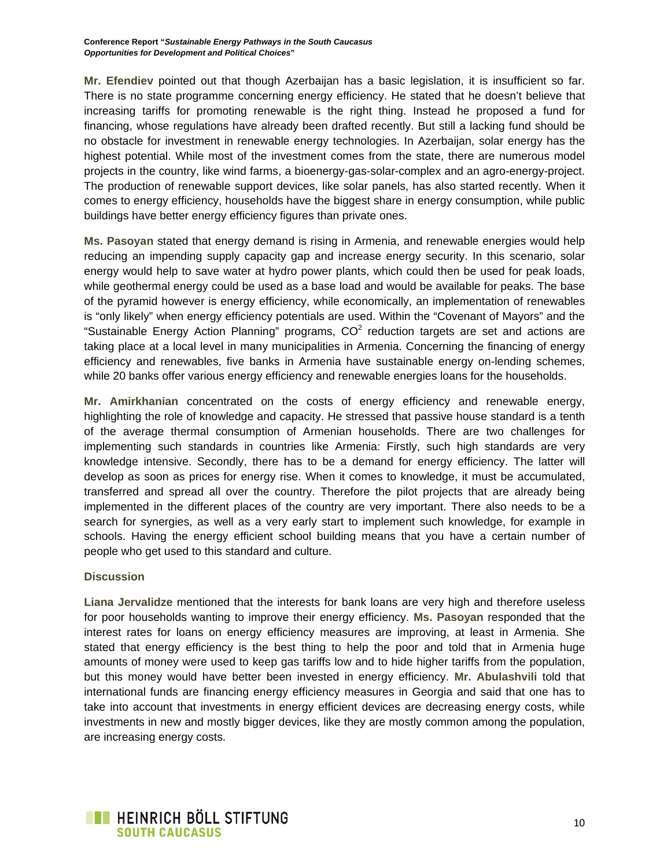**Mr. Efendiev** pointed out that though Azerbaijan has a basic legislation, it is insufficient so far. There is no state programme concerning energy efficiency. He stated that he doesn't believe that increasing tariffs for promoting renewable is the right thing. Instead he proposed a fund for financing, whose regulations have already been drafted recently. But still a lacking fund should be no obstacle for investment in renewable energy technologies. In Azerbaijan, solar energy has the highest potential. While most of the investment comes from the state, there are numerous model projects in the country, like wind farms, a bioenergy-gas-solar-complex and an agro-energy-project. The production of renewable support devices, like solar panels, has also started recently. When it comes to energy efficiency, households have the biggest share in energy consumption, while public buildings have better energy efficiency figures than private ones.

**Ms. Pasoyan** stated that energy demand is rising in Armenia, and renewable energies would help reducing an impending supply capacity gap and increase energy security. In this scenario, solar energy would help to save water at hydro power plants, which could then be used for peak loads, while geothermal energy could be used as a base load and would be available for peaks. The base of the pyramid however is energy efficiency, while economically, an implementation of renewables is "only likely" when energy efficiency potentials are used. Within the "Covenant of Mayors" and the "Sustainable Energy Action Planning" programs,  $CO<sup>2</sup>$  reduction targets are set and actions are taking place at a local level in many municipalities in Armenia. Concerning the financing of energy efficiency and renewables, five banks in Armenia have sustainable energy on-lending schemes, while 20 banks offer various energy efficiency and renewable energies loans for the households.

**Mr. Amirkhanian** concentrated on the costs of energy efficiency and renewable energy, highlighting the role of knowledge and capacity. He stressed that passive house standard is a tenth of the average thermal consumption of Armenian households. There are two challenges for implementing such standards in countries like Armenia: Firstly, such high standards are very knowledge intensive. Secondly, there has to be a demand for energy efficiency. The latter will develop as soon as prices for energy rise. When it comes to knowledge, it must be accumulated, transferred and spread all over the country. Therefore the pilot projects that are already being implemented in the different places of the country are very important. There also needs to be a search for synergies, as well as a very early start to implement such knowledge, for example in schools. Having the energy efficient school building means that you have a certain number of people who get used to this standard and culture.

#### **Discussion**

**Liana Jervalidze** mentioned that the interests for bank loans are very high and therefore useless for poor households wanting to improve their energy efficiency. **Ms. Pasoyan** responded that the interest rates for loans on energy efficiency measures are improving, at least in Armenia. She stated that energy efficiency is the best thing to help the poor and told that in Armenia huge amounts of money were used to keep gas tariffs low and to hide higher tariffs from the population, but this money would have better been invested in energy efficiency. **Mr. Abulashvili** told that international funds are financing energy efficiency measures in Georgia and said that one has to take into account that investments in energy efficient devices are decreasing energy costs, while investments in new and mostly bigger devices, like they are mostly common among the population, are increasing energy costs.

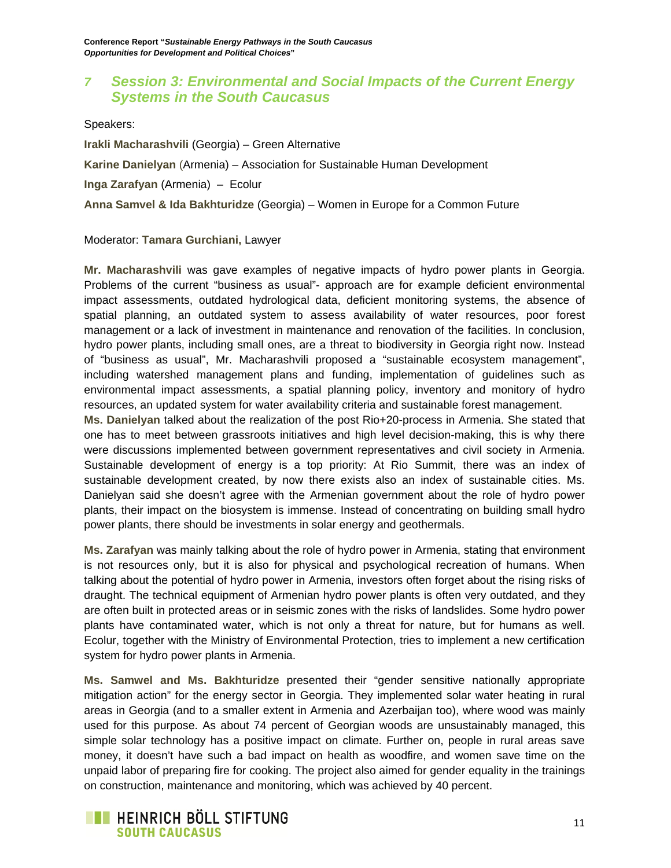## *7 Session 3: Environmental and Social Impacts of the Current Energy Systems in the South Caucasus*

Speakers:

**Irakli Macharashvili** (Georgia) – Green Alternative **Karine Danielyan** (Armenia) – Association for Sustainable Human Development **Inga Zarafyan** (Armenia) – Ecolur **Anna Samvel & Ida Bakhturidze** (Georgia) – Women in Europe for a Common Future

#### Moderator: **Tamara Gurchiani,** Lawyer

**Mr. Macharashvili** was gave examples of negative impacts of hydro power plants in Georgia. Problems of the current "business as usual"- approach are for example deficient environmental impact assessments, outdated hydrological data, deficient monitoring systems, the absence of spatial planning, an outdated system to assess availability of water resources, poor forest management or a lack of investment in maintenance and renovation of the facilities. In conclusion, hydro power plants, including small ones, are a threat to biodiversity in Georgia right now. Instead of "business as usual", Mr. Macharashvili proposed a "sustainable ecosystem management", including watershed management plans and funding, implementation of guidelines such as environmental impact assessments, a spatial planning policy, inventory and monitory of hydro resources, an updated system for water availability criteria and sustainable forest management.

**Ms. Danielyan** talked about the realization of the post Rio+20-process in Armenia. She stated that one has to meet between grassroots initiatives and high level decision-making, this is why there were discussions implemented between government representatives and civil society in Armenia. Sustainable development of energy is a top priority: At Rio Summit, there was an index of sustainable development created, by now there exists also an index of sustainable cities. Ms. Danielyan said she doesn't agree with the Armenian government about the role of hydro power plants, their impact on the biosystem is immense. Instead of concentrating on building small hydro power plants, there should be investments in solar energy and geothermals.

**Ms. Zarafyan** was mainly talking about the role of hydro power in Armenia, stating that environment is not resources only, but it is also for physical and psychological recreation of humans. When talking about the potential of hydro power in Armenia, investors often forget about the rising risks of draught. The technical equipment of Armenian hydro power plants is often very outdated, and they are often built in protected areas or in seismic zones with the risks of landslides. Some hydro power plants have contaminated water, which is not only a threat for nature, but for humans as well. Ecolur, together with the Ministry of Environmental Protection, tries to implement a new certification system for hydro power plants in Armenia.

**Ms. Samwel and Ms. Bakhturidze** presented their "gender sensitive nationally appropriate mitigation action" for the energy sector in Georgia. They implemented solar water heating in rural areas in Georgia (and to a smaller extent in Armenia and Azerbaijan too), where wood was mainly used for this purpose. As about 74 percent of Georgian woods are unsustainably managed, this simple solar technology has a positive impact on climate. Further on, people in rural areas save money, it doesn't have such a bad impact on health as woodfire, and women save time on the unpaid labor of preparing fire for cooking. The project also aimed for gender equality in the trainings on construction, maintenance and monitoring, which was achieved by 40 percent.

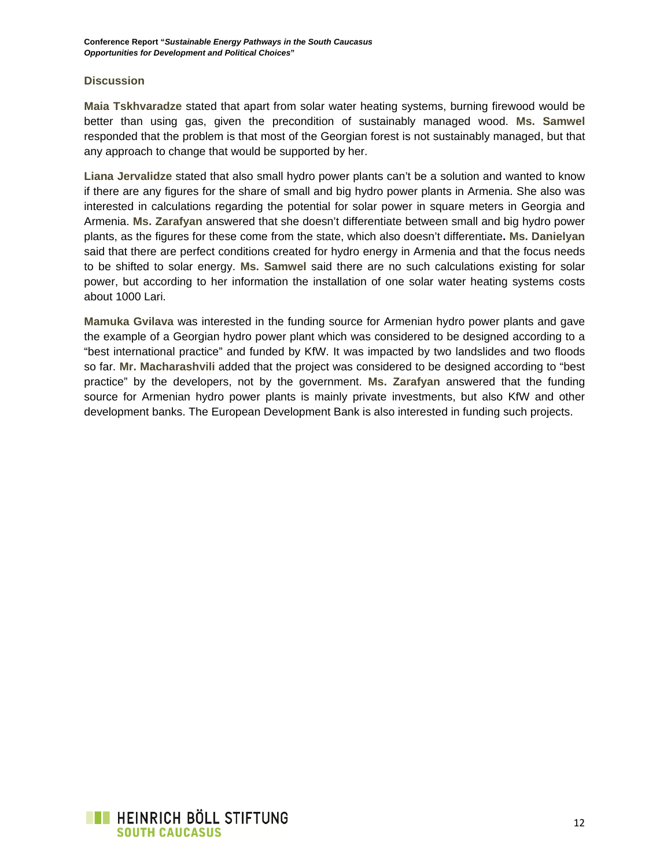#### **Discussion**

**Maia Tskhvaradze** stated that apart from solar water heating systems, burning firewood would be better than using gas, given the precondition of sustainably managed wood. **Ms. Samwel** responded that the problem is that most of the Georgian forest is not sustainably managed, but that any approach to change that would be supported by her.

**Liana Jervalidze** stated that also small hydro power plants can't be a solution and wanted to know if there are any figures for the share of small and big hydro power plants in Armenia. She also was interested in calculations regarding the potential for solar power in square meters in Georgia and Armenia. **Ms. Zarafyan** answered that she doesn't differentiate between small and big hydro power plants, as the figures for these come from the state, which also doesn't differentiate**. Ms. Danielyan** said that there are perfect conditions created for hydro energy in Armenia and that the focus needs to be shifted to solar energy. **Ms. Samwel** said there are no such calculations existing for solar power, but according to her information the installation of one solar water heating systems costs about 1000 Lari.

**Mamuka Gvilava** was interested in the funding source for Armenian hydro power plants and gave the example of a Georgian hydro power plant which was considered to be designed according to a "best international practice" and funded by KfW. It was impacted by two landslides and two floods so far. **Mr. Macharashvili** added that the project was considered to be designed according to "best practice" by the developers, not by the government. **Ms. Zarafyan** answered that the funding source for Armenian hydro power plants is mainly private investments, but also KfW and other development banks. The European Development Bank is also interested in funding such projects.

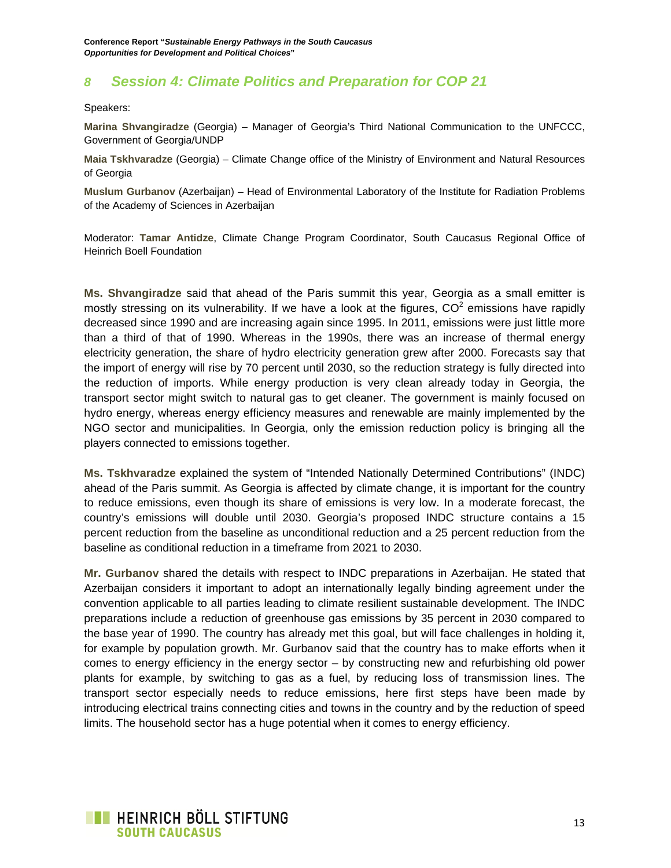## *8 Session 4: Climate Politics and Preparation for COP 21*

Speakers:

**Marina Shvangiradze** (Georgia) – Manager of Georgia's Third National Communication to the UNFCCC, Government of Georgia/UNDP

**Maia Tskhvaradze** (Georgia) – Climate Change office of the Ministry of Environment and Natural Resources of Georgia

**Muslum Gurbanov** (Azerbaijan) – Head of Environmental Laboratory of the Institute for Radiation Problems of the Academy of Sciences in Azerbaijan

Moderator: **Tamar Antidze**, Climate Change Program Coordinator, South Caucasus Regional Office of Heinrich Boell Foundation

**Ms. Shvangiradze** said that ahead of the Paris summit this year, Georgia as a small emitter is mostly stressing on its vulnerability. If we have a look at the figures,  $CO<sup>2</sup>$  emissions have rapidly decreased since 1990 and are increasing again since 1995. In 2011, emissions were just little more than a third of that of 1990. Whereas in the 1990s, there was an increase of thermal energy electricity generation, the share of hydro electricity generation grew after 2000. Forecasts say that the import of energy will rise by 70 percent until 2030, so the reduction strategy is fully directed into the reduction of imports. While energy production is very clean already today in Georgia, the transport sector might switch to natural gas to get cleaner. The government is mainly focused on hydro energy, whereas energy efficiency measures and renewable are mainly implemented by the NGO sector and municipalities. In Georgia, only the emission reduction policy is bringing all the players connected to emissions together.

**Ms. Tskhvaradze** explained the system of "Intended Nationally Determined Contributions" (INDC) ahead of the Paris summit. As Georgia is affected by climate change, it is important for the country to reduce emissions, even though its share of emissions is very low. In a moderate forecast, the country's emissions will double until 2030. Georgia's proposed INDC structure contains a 15 percent reduction from the baseline as unconditional reduction and a 25 percent reduction from the baseline as conditional reduction in a timeframe from 2021 to 2030.

**Mr. Gurbanov** shared the details with respect to INDC preparations in Azerbaijan. He stated that Azerbaijan considers it important to adopt an internationally legally binding agreement under the convention applicable to all parties leading to climate resilient sustainable development. The INDC preparations include a reduction of greenhouse gas emissions by 35 percent in 2030 compared to the base year of 1990. The country has already met this goal, but will face challenges in holding it, for example by population growth. Mr. Gurbanov said that the country has to make efforts when it comes to energy efficiency in the energy sector – by constructing new and refurbishing old power plants for example, by switching to gas as a fuel, by reducing loss of transmission lines. The transport sector especially needs to reduce emissions, here first steps have been made by introducing electrical trains connecting cities and towns in the country and by the reduction of speed limits. The household sector has a huge potential when it comes to energy efficiency.

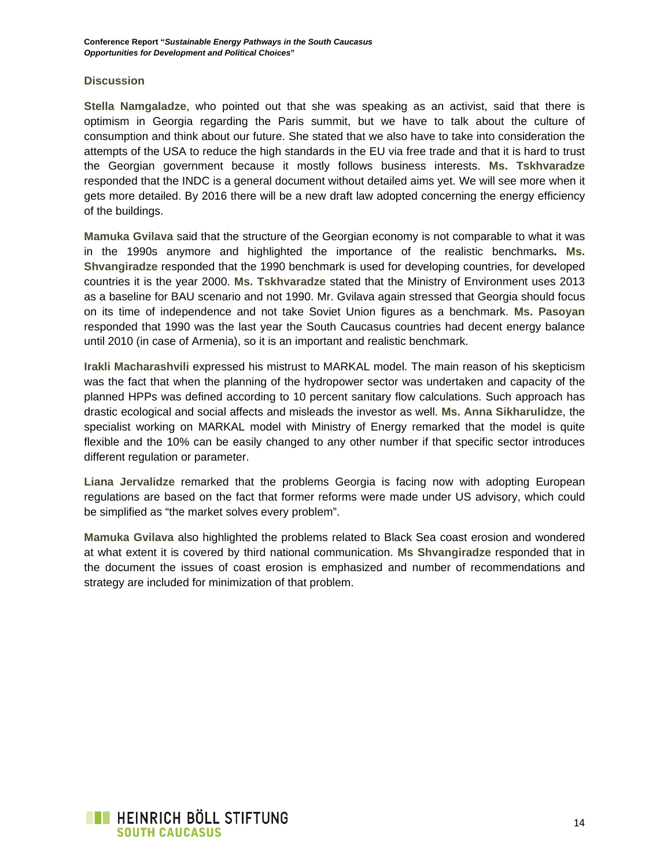#### **Discussion**

**Stella Namgaladze**, who pointed out that she was speaking as an activist, said that there is optimism in Georgia regarding the Paris summit, but we have to talk about the culture of consumption and think about our future. She stated that we also have to take into consideration the attempts of the USA to reduce the high standards in the EU via free trade and that it is hard to trust the Georgian government because it mostly follows business interests. **Ms. Tskhvaradze** responded that the INDC is a general document without detailed aims yet. We will see more when it gets more detailed. By 2016 there will be a new draft law adopted concerning the energy efficiency of the buildings.

**Mamuka Gvilava** said that the structure of the Georgian economy is not comparable to what it was in the 1990s anymore and highlighted the importance of the realistic benchmarks**. Ms. Shvangiradze** responded that the 1990 benchmark is used for developing countries, for developed countries it is the year 2000. **Ms. Tskhvaradze** stated that the Ministry of Environment uses 2013 as a baseline for BAU scenario and not 1990. Mr. Gvilava again stressed that Georgia should focus on its time of independence and not take Soviet Union figures as a benchmark. **Ms. Pasoyan** responded that 1990 was the last year the South Caucasus countries had decent energy balance until 2010 (in case of Armenia), so it is an important and realistic benchmark.

**Irakli Macharashvili** expressed his mistrust to MARKAL model. The main reason of his skepticism was the fact that when the planning of the hydropower sector was undertaken and capacity of the planned HPPs was defined according to 10 percent sanitary flow calculations. Such approach has drastic ecological and social affects and misleads the investor as well. **Ms. Anna Sikharulidze**, the specialist working on MARKAL model with Ministry of Energy remarked that the model is quite flexible and the 10% can be easily changed to any other number if that specific sector introduces different regulation or parameter.

**Liana Jervalidze** remarked that the problems Georgia is facing now with adopting European regulations are based on the fact that former reforms were made under US advisory, which could be simplified as "the market solves every problem".

**Mamuka Gvilava** also highlighted the problems related to Black Sea coast erosion and wondered at what extent it is covered by third national communication. **Ms Shvangiradze** responded that in the document the issues of coast erosion is emphasized and number of recommendations and strategy are included for minimization of that problem.